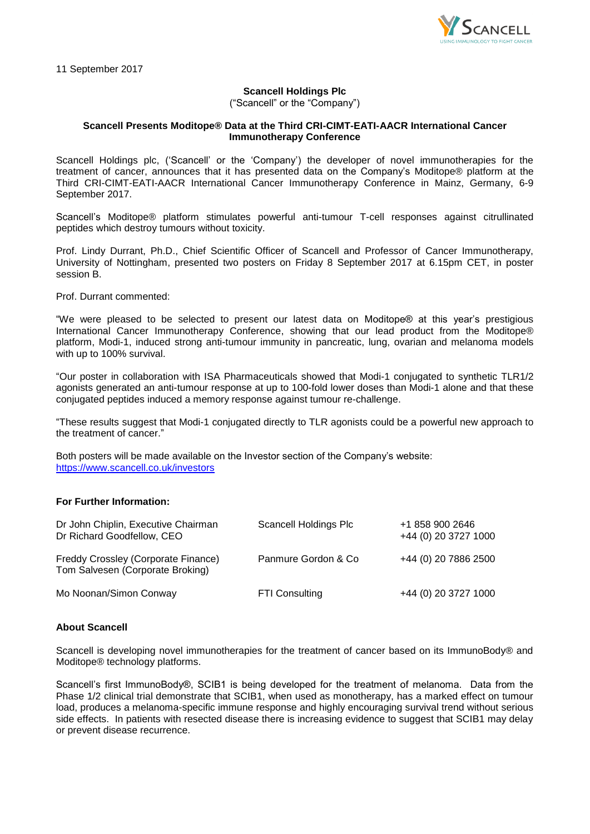

11 September 2017

# **Scancell Holdings Plc**

("Scancell" or the "Company")

## **Scancell Presents Moditope® Data at the Third CRI-CIMT-EATI-AACR International Cancer Immunotherapy Conference**

Scancell Holdings plc, ('Scancell' or the 'Company') the developer of novel immunotherapies for the treatment of cancer, announces that it has presented data on the Company's Moditope® platform at the Third CRI-CIMT-EATI-AACR International Cancer Immunotherapy Conference in Mainz, Germany, 6-9 September 2017.

Scancell's Moditope® platform stimulates powerful anti-tumour T-cell responses against citrullinated peptides which destroy tumours without toxicity.

Prof. Lindy Durrant, Ph.D., Chief Scientific Officer of Scancell and Professor of Cancer Immunotherapy, University of Nottingham, presented two posters on Friday 8 September 2017 at 6.15pm CET, in poster session B.

Prof. Durrant commented:

"We were pleased to be selected to present our latest data on Moditope® at this year's prestigious International Cancer Immunotherapy Conference, showing that our lead product from the Moditope® platform, Modi-1, induced strong anti-tumour immunity in pancreatic, lung, ovarian and melanoma models with up to 100% survival.

"Our poster in collaboration with ISA Pharmaceuticals showed that Modi-1 conjugated to synthetic TLR1/2 agonists generated an anti-tumour response at up to 100-fold lower doses than Modi-1 alone and that these conjugated peptides induced a memory response against tumour re-challenge.

"These results suggest that Modi-1 conjugated directly to TLR agonists could be a powerful new approach to the treatment of cancer."

Both posters will be made available on the Investor section of the Company's website: <https://www.scancell.co.uk/investors>

## **For Further Information:**

| Dr John Chiplin, Executive Chairman<br>Dr Richard Goodfellow, CEO       | Scancell Holdings Plc | +1 858 900 2646<br>+44 (0) 20 3727 1000 |
|-------------------------------------------------------------------------|-----------------------|-----------------------------------------|
| Freddy Crossley (Corporate Finance)<br>Tom Salvesen (Corporate Broking) | Panmure Gordon & Co   | +44 (0) 20 7886 2500                    |
| Mo Noonan/Simon Conway                                                  | <b>FTI Consulting</b> | +44 (0) 20 3727 1000                    |

## **About Scancell**

Scancell is developing novel immunotherapies for the treatment of cancer based on its ImmunoBody® and Moditope® technology platforms.

Scancell's first ImmunoBody®, SCIB1 is being developed for the treatment of melanoma. Data from the Phase 1/2 clinical trial demonstrate that SCIB1, when used as monotherapy, has a marked effect on tumour load, produces a melanoma-specific immune response and highly encouraging survival trend without serious side effects. In patients with resected disease there is increasing evidence to suggest that SCIB1 may delay or prevent disease recurrence.